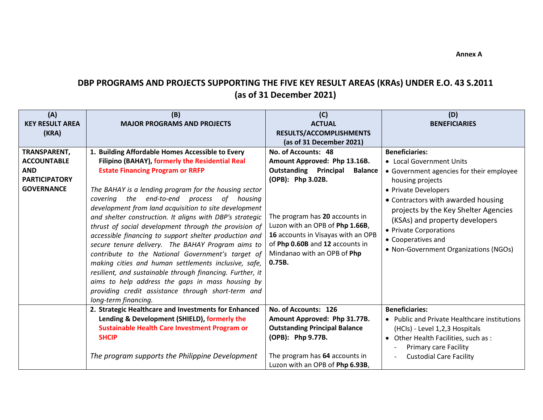## **DBP PROGRAMS AND PROJECTS SUPPORTING THE FIVE KEY RESULT AREAS (KRAs) UNDER E.O. 43 S.2011 (as of 31 December 2021)**

| (A)<br><b>KEY RESULT AREA</b><br>(KRA)                                                        | (B)<br><b>MAJOR PROGRAMS AND PROJECTS</b>                                                                                                                                                                                                                                                                                                                                                                                                                                                                                                                                                                                                                                                                                                                                                                                                                      | (C)<br><b>ACTUAL</b><br>RESULTS/ACCOMPLISHMENTS<br>(as of 31 December 2021)                                                                                                                                                                                                                                       | (D)<br><b>BENEFICIARIES</b>                                                                                                                                                                                                                                                                                                                        |
|-----------------------------------------------------------------------------------------------|----------------------------------------------------------------------------------------------------------------------------------------------------------------------------------------------------------------------------------------------------------------------------------------------------------------------------------------------------------------------------------------------------------------------------------------------------------------------------------------------------------------------------------------------------------------------------------------------------------------------------------------------------------------------------------------------------------------------------------------------------------------------------------------------------------------------------------------------------------------|-------------------------------------------------------------------------------------------------------------------------------------------------------------------------------------------------------------------------------------------------------------------------------------------------------------------|----------------------------------------------------------------------------------------------------------------------------------------------------------------------------------------------------------------------------------------------------------------------------------------------------------------------------------------------------|
| TRANSPARENT,<br><b>ACCOUNTABLE</b><br><b>AND</b><br><b>PARTICIPATORY</b><br><b>GOVERNANCE</b> | 1. Building Affordable Homes Accessible to Every<br>Filipino (BAHAY), formerly the Residential Real<br><b>Estate Financing Program or RRFP</b><br>The BAHAY is a lending program for the housing sector<br>covering the end-to-end process of housing<br>development from land acquisition to site development<br>and shelter construction. It aligns with DBP's strategic<br>thrust of social development through the provision of<br>accessible financing to support shelter production and<br>secure tenure delivery. The BAHAY Program aims to<br>contribute to the National Government's target of<br>making cities and human settlements inclusive, safe,<br>resilient, and sustainable through financing. Further, it<br>aims to help address the gaps in mass housing by<br>providing credit assistance through short-term and<br>long-term financing. | No. of Accounts: 48<br>Amount Approved: Php 13.16B.<br><b>Outstanding Principal</b><br><b>Balance</b><br>(OPB): Php 3.02B.<br>The program has 20 accounts in<br>Luzon with an OPB of Php 1.66B,<br>16 accounts in Visayas with an OPB<br>of Php 0.60B and 12 accounts in<br>Mindanao with an OPB of Php<br>0.75B. | <b>Beneficiaries:</b><br>• Local Government Units<br>• Government agencies for their employee<br>housing projects<br>• Private Developers<br>• Contractors with awarded housing<br>projects by the Key Shelter Agencies<br>(KSAs) and property developers<br>• Private Corporations<br>• Cooperatives and<br>• Non-Government Organizations (NGOs) |
|                                                                                               | 2. Strategic Healthcare and Investments for Enhanced<br>Lending & Development (SHIELD), formerly the<br><b>Sustainable Health Care Investment Program or</b><br><b>SHCIP</b><br>The program supports the Philippine Development                                                                                                                                                                                                                                                                                                                                                                                                                                                                                                                                                                                                                                | No. of Accounts: 126<br>Amount Approved: Php 31.77B.<br><b>Outstanding Principal Balance</b><br>(OPB): Php 9.77B.<br>The program has 64 accounts in<br>Luzon with an OPB of Php 6.93B,                                                                                                                            | <b>Beneficiaries:</b><br>• Public and Private Healthcare institutions<br>(HCIs) - Level 1,2,3 Hospitals<br>Other Health Facilities, such as :<br>$\bullet$<br><b>Primary care Facility</b><br><b>Custodial Care Facility</b>                                                                                                                       |

 **Annex A**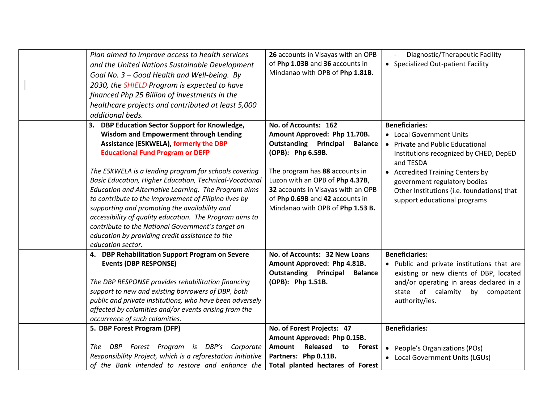| Plan aimed to improve access to health services<br>and the United Nations Sustainable Development<br>Goal No. 3 - Good Health and Well-being. By<br>2030, the <b>SHIELD</b> Program is expected to have<br>financed Php 25 Billion of investments in the<br>healthcare projects and contributed at least 5,000                                                                                                                                                                                                                                                                                                                                                            | of Php 1.03B and 36 accounts in                                                                                                                                                                                   | 26 accounts in Visayas with an OPB<br>Mindanao with OPB of Php 1.81B.                    | Diagnostic/Therapeutic Facility<br>• Specialized Out-patient Facility                                                                                                                                                                                                                          |
|---------------------------------------------------------------------------------------------------------------------------------------------------------------------------------------------------------------------------------------------------------------------------------------------------------------------------------------------------------------------------------------------------------------------------------------------------------------------------------------------------------------------------------------------------------------------------------------------------------------------------------------------------------------------------|-------------------------------------------------------------------------------------------------------------------------------------------------------------------------------------------------------------------|------------------------------------------------------------------------------------------|------------------------------------------------------------------------------------------------------------------------------------------------------------------------------------------------------------------------------------------------------------------------------------------------|
| additional beds.                                                                                                                                                                                                                                                                                                                                                                                                                                                                                                                                                                                                                                                          |                                                                                                                                                                                                                   |                                                                                          |                                                                                                                                                                                                                                                                                                |
| 3. DBP Education Sector Support for Knowledge,<br><b>Wisdom and Empowerment through Lending</b><br><b>Assistance (ESKWELA), formerly the DBP</b><br><b>Educational Fund Program or DEFP</b><br>The ESKWELA is a lending program for schools covering<br>Basic Education, Higher Education, Technical-Vocational<br>Education and Alternative Learning. The Program aims<br>to contribute to the improvement of Filipino lives by<br>supporting and promoting the availability and<br>accessibility of quality education. The Program aims to<br>contribute to the National Government's target on<br>education by providing credit assistance to the<br>education sector. | No. of Accounts: 162<br>Amount Approved: Php 11.70B.<br><b>Outstanding Principal</b><br>(OPB): Php 6.59B.<br>The program has 88 accounts in<br>Luzon with an OPB of Php 4.37B,<br>of Php 0.69B and 42 accounts in | <b>Balance</b><br>32 accounts in Visayas with an OPB<br>Mindanao with OPB of Php 1.53 B. | <b>Beneficiaries:</b><br>• Local Government Units<br>• Private and Public Educational<br>Institutions recognized by CHED, DepED<br>and TESDA<br>• Accredited Training Centers by<br>government regulatory bodies<br>Other Institutions (i.e. foundations) that<br>support educational programs |
| 4. DBP Rehabilitation Support Program on Severe<br><b>Events (DBP RESPONSE)</b><br>The DBP RESPONSE provides rehabilitation financing<br>support to new and existing borrowers of DBP, both<br>public and private institutions, who have been adversely<br>affected by calamities and/or events arising from the<br>occurrence of such calamities.                                                                                                                                                                                                                                                                                                                        | No. of Accounts: 32 New Loans<br>Amount Approved: Php 4.81B.<br><b>Outstanding Principal</b><br>(OPB): Php 1.51B.                                                                                                 | <b>Balance</b>                                                                           | <b>Beneficiaries:</b><br>• Public and private institutions that are<br>existing or new clients of DBP, located<br>and/or operating in areas declared in a<br>of calamity<br>by competent<br>state<br>authority/ies.                                                                            |
| 5. DBP Forest Program (DFP)                                                                                                                                                                                                                                                                                                                                                                                                                                                                                                                                                                                                                                               | No. of Forest Projects: 47                                                                                                                                                                                        |                                                                                          | <b>Beneficiaries:</b>                                                                                                                                                                                                                                                                          |
| DBP Forest Program is DBP's Corporate<br>The<br>Responsibility Project, which is a reforestation initiative<br>of the Bank intended to restore and enhance the                                                                                                                                                                                                                                                                                                                                                                                                                                                                                                            | Amount Approved: Php 0.15B.<br>Partners: Php 0.11B.                                                                                                                                                               | Amount Released to Forest<br>$\bullet$<br>Total planted hectares of Forest               | People's Organizations (POs)<br>• Local Government Units (LGUs)                                                                                                                                                                                                                                |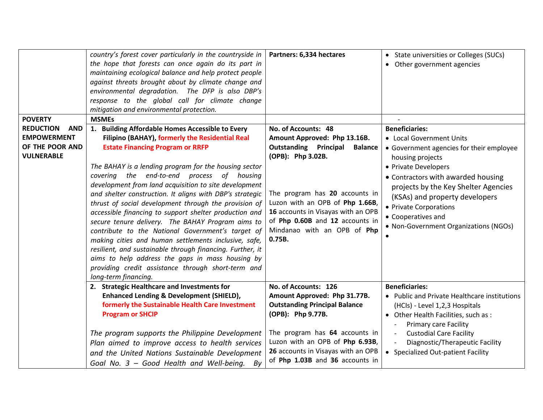| <b>POVERTY</b><br><b>REDUCTION</b><br><b>AND</b><br><b>EMPOWERMENT</b><br>OF THE POOR AND<br><b>VULNERABLE</b> | country's forest cover particularly in the countryside in<br>the hope that forests can once again do its part in<br>maintaining ecological balance and help protect people<br>against threats brought about by climate change and<br>environmental degradation. The DFP is also DBP's<br>response to the global call for climate change<br>mitigation and environmental protection.<br><b>MSMEs</b><br>1. Building Affordable Homes Accessible to Every<br>Filipino (BAHAY), formerly the Residential Real<br><b>Estate Financing Program or RRFP</b><br>The BAHAY is a lending program for the housing sector<br>covering the end-to-end process of housing | Partners: 6,334 hectares<br>No. of Accounts: 48<br>Amount Approved: Php 13.16B.<br><b>Outstanding Principal</b><br><b>Balance</b><br>(OPB): Php 3.02B.                              | • State universities or Colleges (SUCs)<br>• Other government agencies<br><b>Beneficiaries:</b><br>• Local Government Units<br>• Government agencies for their employee<br>housing projects<br>• Private Developers<br>• Contractors with awarded housing |
|----------------------------------------------------------------------------------------------------------------|--------------------------------------------------------------------------------------------------------------------------------------------------------------------------------------------------------------------------------------------------------------------------------------------------------------------------------------------------------------------------------------------------------------------------------------------------------------------------------------------------------------------------------------------------------------------------------------------------------------------------------------------------------------|-------------------------------------------------------------------------------------------------------------------------------------------------------------------------------------|-----------------------------------------------------------------------------------------------------------------------------------------------------------------------------------------------------------------------------------------------------------|
|                                                                                                                | development from land acquisition to site development<br>and shelter construction. It aligns with DBP's strategic<br>thrust of social development through the provision of<br>accessible financing to support shelter production and<br>secure tenure delivery. The BAHAY Program aims to<br>contribute to the National Government's target of<br>making cities and human settlements inclusive, safe,<br>resilient, and sustainable through financing. Further, it<br>aims to help address the gaps in mass housing by<br>providing credit assistance through short-term and<br>long-term financing.                                                        | The program has 20 accounts in<br>Luzon with an OPB of Php 1.66B,<br>16 accounts in Visayas with an OPB<br>of Php 0.60B and 12 accounts in<br>Mindanao with an OPB of Php<br>0.75B. | projects by the Key Shelter Agencies<br>(KSAs) and property developers<br>• Private Corporations<br>• Cooperatives and<br>• Non-Government Organizations (NGOs)                                                                                           |
|                                                                                                                | 2. Strategic Healthcare and Investments for                                                                                                                                                                                                                                                                                                                                                                                                                                                                                                                                                                                                                  | No. of Accounts: 126                                                                                                                                                                | <b>Beneficiaries:</b>                                                                                                                                                                                                                                     |
|                                                                                                                | <b>Enhanced Lending &amp; Development (SHIELD),</b>                                                                                                                                                                                                                                                                                                                                                                                                                                                                                                                                                                                                          | Amount Approved: Php 31.77B.                                                                                                                                                        | • Public and Private Healthcare institutions                                                                                                                                                                                                              |
|                                                                                                                | formerly the Sustainable Health Care Investment<br><b>Program or SHCIP</b>                                                                                                                                                                                                                                                                                                                                                                                                                                                                                                                                                                                   | <b>Outstanding Principal Balance</b><br>(OPB): Php 9.77B.                                                                                                                           | (HCls) - Level 1,2,3 Hospitals<br>• Other Health Facilities, such as :<br><b>Primary care Facility</b>                                                                                                                                                    |
|                                                                                                                | The program supports the Philippine Development                                                                                                                                                                                                                                                                                                                                                                                                                                                                                                                                                                                                              | The program has 64 accounts in                                                                                                                                                      | <b>Custodial Care Facility</b>                                                                                                                                                                                                                            |
|                                                                                                                | Plan aimed to improve access to health services                                                                                                                                                                                                                                                                                                                                                                                                                                                                                                                                                                                                              | Luzon with an OPB of Php 6.93B,                                                                                                                                                     | Diagnostic/Therapeutic Facility                                                                                                                                                                                                                           |
|                                                                                                                | and the United Nations Sustainable Development<br>Goal No. 3 - Good Health and Well-being.<br>By                                                                                                                                                                                                                                                                                                                                                                                                                                                                                                                                                             | 26 accounts in Visayas with an OPB<br>of Php 1.03B and 36 accounts in                                                                                                               | • Specialized Out-patient Facility                                                                                                                                                                                                                        |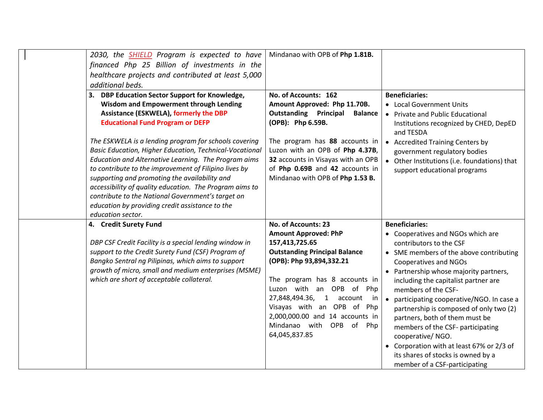| 2030, the <b>SHIELD</b> Program is expected to have<br>financed Php 25 Billion of investments in the<br>healthcare projects and contributed at least 5,000<br>additional beds.                                                                                                                                                                                                                                                                                                                                                                                                                                                                                     | Mindanao with OPB of Php 1.81B.                                                                                                                                                                                                                                                                                                                          |                                                                                                                                                                                                                                                                                                                                                                                                                                                                                                                                                                                   |
|--------------------------------------------------------------------------------------------------------------------------------------------------------------------------------------------------------------------------------------------------------------------------------------------------------------------------------------------------------------------------------------------------------------------------------------------------------------------------------------------------------------------------------------------------------------------------------------------------------------------------------------------------------------------|----------------------------------------------------------------------------------------------------------------------------------------------------------------------------------------------------------------------------------------------------------------------------------------------------------------------------------------------------------|-----------------------------------------------------------------------------------------------------------------------------------------------------------------------------------------------------------------------------------------------------------------------------------------------------------------------------------------------------------------------------------------------------------------------------------------------------------------------------------------------------------------------------------------------------------------------------------|
| 3. DBP Education Sector Support for Knowledge,<br>Wisdom and Empowerment through Lending<br><b>Assistance (ESKWELA), formerly the DBP</b><br><b>Educational Fund Program or DEFP</b><br>The ESKWELA is a lending program for schools covering<br>Basic Education, Higher Education, Technical-Vocational<br>Education and Alternative Learning. The Program aims<br>to contribute to the improvement of Filipino lives by<br>supporting and promoting the availability and<br>accessibility of quality education. The Program aims to<br>contribute to the National Government's target on<br>education by providing credit assistance to the<br>education sector. | No. of Accounts: 162<br>Amount Approved: Php 11.70B.<br><b>Outstanding Principal</b><br><b>Balance</b><br>(OPB): Php 6.59B.<br>The program has 88 accounts in<br>Luzon with an OPB of Php 4.37B,<br>32 accounts in Visayas with an OPB<br>of Php 0.69B and 42 accounts in<br>Mindanao with OPB of Php 1.53 B.                                            | <b>Beneficiaries:</b><br>• Local Government Units<br>• Private and Public Educational<br>Institutions recognized by CHED, DepED<br>and TESDA<br>• Accredited Training Centers by<br>government regulatory bodies<br>• Other Institutions (i.e. foundations) that<br>support educational programs                                                                                                                                                                                                                                                                                  |
| 4. Credit Surety Fund<br>DBP CSF Credit Facility is a special lending window in<br>support to the Credit Surety Fund (CSF) Program of<br>Bangko Sentral ng Pilipinas, which aims to support<br>growth of micro, small and medium enterprises (MSME)<br>which are short of acceptable collateral.                                                                                                                                                                                                                                                                                                                                                                   | No. of Accounts: 23<br><b>Amount Approved: PhP</b><br>157,413,725.65<br><b>Outstanding Principal Balance</b><br>(OPB): Php 93,894,332.21<br>The program has 8 accounts in<br>Luzon with an OPB of Php<br>27,848,494.36, 1 account<br>in<br>Visayas with an OPB of Php<br>2,000,000.00 and 14 accounts in<br>Mindanao with OPB of<br>Php<br>64,045,837.85 | <b>Beneficiaries:</b><br>• Cooperatives and NGOs which are<br>contributors to the CSF<br>• SME members of the above contributing<br><b>Cooperatives and NGOs</b><br>• Partnership whose majority partners,<br>including the capitalist partner are<br>members of the CSF-<br>• participating cooperative/NGO. In case a<br>partnership is composed of only two (2)<br>partners, both of them must be<br>members of the CSF- participating<br>cooperative/NGO.<br>• Corporation with at least 67% or 2/3 of<br>its shares of stocks is owned by a<br>member of a CSF-participating |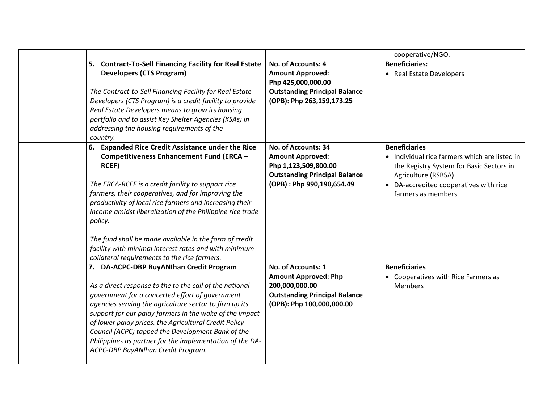|                                                                                                                                                                                                                                                                                                                                                                                                                                                                                                                          |                                                                                                                                             | cooperative/NGO.                                                                                                                                                                                         |
|--------------------------------------------------------------------------------------------------------------------------------------------------------------------------------------------------------------------------------------------------------------------------------------------------------------------------------------------------------------------------------------------------------------------------------------------------------------------------------------------------------------------------|---------------------------------------------------------------------------------------------------------------------------------------------|----------------------------------------------------------------------------------------------------------------------------------------------------------------------------------------------------------|
| 5. Contract-To-Sell Financing Facility for Real Estate<br><b>Developers (CTS Program)</b><br>The Contract-to-Sell Financing Facility for Real Estate<br>Developers (CTS Program) is a credit facility to provide<br>Real Estate Developers means to grow its housing<br>portfolio and to assist Key Shelter Agencies (KSAs) in<br>addressing the housing requirements of the<br>country.                                                                                                                                 | No. of Accounts: 4<br><b>Amount Approved:</b><br>Php 425,000,000.00<br><b>Outstanding Principal Balance</b><br>(OPB): Php 263,159,173.25    | <b>Beneficiaries:</b><br>• Real Estate Developers                                                                                                                                                        |
| 6. Expanded Rice Credit Assistance under the Rice<br>Competitiveness Enhancement Fund (ERCA -<br>RCEF)<br>The ERCA-RCEF is a credit facility to support rice<br>farmers, their cooperatives, and for improving the<br>productivity of local rice farmers and increasing their<br>income amidst liberalization of the Philippine rice trade<br>policy.<br>The fund shall be made available in the form of credit<br>facility with minimal interest rates and with minimum<br>collateral requirements to the rice farmers. | No. of Accounts: 34<br><b>Amount Approved:</b><br>Php 1,123,509,800.00<br><b>Outstanding Principal Balance</b><br>(OPB): Php 990,190,654.49 | <b>Beneficiaries</b><br>• Individual rice farmers which are listed in<br>the Registry System for Basic Sectors in<br>Agriculture (RSBSA)<br>• DA-accredited cooperatives with rice<br>farmers as members |
| 7. DA-ACPC-DBP BuyANIhan Credit Program<br>As a direct response to the to the call of the national<br>government for a concerted effort of government<br>agencies serving the agriculture sector to firm up its<br>support for our palay farmers in the wake of the impact<br>of lower palay prices, the Agricultural Credit Policy<br>Council (ACPC) tapped the Development Bank of the<br>Philippines as partner for the implementation of the DA-<br>ACPC-DBP BuyANlhan Credit Program.                               | No. of Accounts: 1<br><b>Amount Approved: Php</b><br>200,000,000.00<br><b>Outstanding Principal Balance</b><br>(OPB): Php 100,000,000.00    | <b>Beneficiaries</b><br>• Cooperatives with Rice Farmers as<br>Members                                                                                                                                   |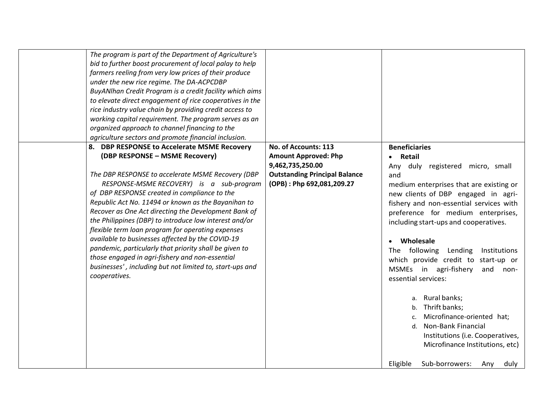| farmers reeling from very low prices of their produce<br>under the new rice regime. The DA-ACPCDBP<br>organized approach to channel financing to the<br>agriculture sectors and promote financial inclusion.                                                                                                                                                         | The program is part of the Department of Agriculture's<br>bid to further boost procurement of local palay to help<br>BuyANIhan Credit Program is a credit facility which aims<br>to elevate direct engagement of rice cooperatives in the<br>rice industry value chain by providing credit access to<br>working capital requirement. The program serves as an |                                                                                                                                              |                                                                                                                                                                                                                                                                                                                                                                                                                                                                                                                                                                                                                                                                                                |
|----------------------------------------------------------------------------------------------------------------------------------------------------------------------------------------------------------------------------------------------------------------------------------------------------------------------------------------------------------------------|---------------------------------------------------------------------------------------------------------------------------------------------------------------------------------------------------------------------------------------------------------------------------------------------------------------------------------------------------------------|----------------------------------------------------------------------------------------------------------------------------------------------|------------------------------------------------------------------------------------------------------------------------------------------------------------------------------------------------------------------------------------------------------------------------------------------------------------------------------------------------------------------------------------------------------------------------------------------------------------------------------------------------------------------------------------------------------------------------------------------------------------------------------------------------------------------------------------------------|
| 8. DBP RESPONSE to Accelerate MSME Recovery<br>(DBP RESPONSE - MSME Recovery)<br>of DBP RESPONSE created in compliance to the<br>flexible term loan program for operating expenses<br>available to businesses affected by the COVID-19<br>pandemic, particularly that priority shall be given to<br>those engaged in agri-fishery and non-essential<br>cooperatives. | The DBP RESPONSE to accelerate MSME Recovery (DBP<br>RESPONSE-MSME RECOVERY) is a sub-program<br>Republic Act No. 11494 or known as the Bayanihan to<br>Recover as One Act directing the Development Bank of<br>the Philippines (DBP) to introduce low interest and/or<br>businesses', including but not limited to, start-ups and                            | No. of Accounts: 113<br><b>Amount Approved: Php</b><br>9,462,735,250.00<br><b>Outstanding Principal Balance</b><br>(OPB): Php 692,081,209.27 | <b>Beneficiaries</b><br>• Retail<br>Any duly registered micro, small<br>and<br>medium enterprises that are existing or<br>new clients of DBP engaged in agri-<br>fishery and non-essential services with<br>preference for medium enterprises,<br>including start-ups and cooperatives.<br>Wholesale<br>following<br>The<br>Lending<br>Institutions<br>which provide credit to start-up or<br>MSMEs in agri-fishery<br>and<br>non-<br>essential services:<br>a. Rural banks;<br>Thrift banks;<br>b.<br>Microfinance-oriented hat;<br>C.<br><b>Non-Bank Financial</b><br>d.<br>Institutions (i.e. Cooperatives,<br>Microfinance Institutions, etc)<br>Sub-borrowers:<br>Eligible<br>duly<br>Any |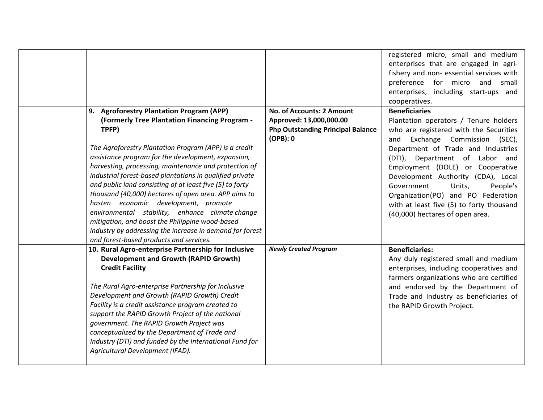|                                                                                                                                                                                                                                                                                                                                                                                                                                                                                                                                                                                                           |                                          | registered micro, small and medium<br>enterprises that are engaged in agri-<br>fishery and non- essential services with<br>preference for micro<br>and<br>small<br>enterprises, including start-ups and<br>cooperatives.                                                                                |
|-----------------------------------------------------------------------------------------------------------------------------------------------------------------------------------------------------------------------------------------------------------------------------------------------------------------------------------------------------------------------------------------------------------------------------------------------------------------------------------------------------------------------------------------------------------------------------------------------------------|------------------------------------------|---------------------------------------------------------------------------------------------------------------------------------------------------------------------------------------------------------------------------------------------------------------------------------------------------------|
| 9. Agroforestry Plantation Program (APP)                                                                                                                                                                                                                                                                                                                                                                                                                                                                                                                                                                  | No. of Accounts: 2 Amount                | <b>Beneficiaries</b>                                                                                                                                                                                                                                                                                    |
| (Formerly Tree Plantation Financing Program -                                                                                                                                                                                                                                                                                                                                                                                                                                                                                                                                                             | Approved: 13,000,000.00                  | Plantation operators / Tenure holders                                                                                                                                                                                                                                                                   |
| TPFP)                                                                                                                                                                                                                                                                                                                                                                                                                                                                                                                                                                                                     | <b>Php Outstanding Principal Balance</b> | who are registered with the Securities                                                                                                                                                                                                                                                                  |
|                                                                                                                                                                                                                                                                                                                                                                                                                                                                                                                                                                                                           | $(OPB)$ : 0                              | Exchange Commission (SEC),<br>and                                                                                                                                                                                                                                                                       |
| The Agroforestry Plantation Program (APP) is a credit<br>assistance program for the development, expansion,<br>harvesting, processing, maintenance and protection of<br>industrial forest-based plantations in qualified private<br>and public land consisting of at least five (5) to forty<br>thousand (40,000) hectares of open area. APP aims to<br>hasten economic development, promote<br>environmental stability, enhance climate change<br>mitigation, and boost the Philippine wood-based<br>industry by addressing the increase in demand for forest<br>and forest-based products and services. |                                          | Department of Trade and Industries<br>(DTI), Department of Labor and<br>Employment (DOLE) or Cooperative<br>Development Authority (CDA), Local<br>Government<br>Units,<br>People's<br>Organization(PO) and PO Federation<br>with at least five (5) to forty thousand<br>(40,000) hectares of open area. |
| 10. Rural Agro-enterprise Partnership for Inclusive<br><b>Development and Growth (RAPID Growth)</b><br><b>Credit Facility</b><br>The Rural Agro-enterprise Partnership for Inclusive<br>Development and Growth (RAPID Growth) Credit<br>Facility is a credit assistance program created to<br>support the RAPID Growth Project of the national<br>government. The RAPID Growth Project was<br>conceptualized by the Department of Trade and<br>Industry (DTI) and funded by the International Fund for<br>Agricultural Development (IFAD).                                                                | <b>Newly Created Program</b>             | <b>Beneficiaries:</b><br>Any duly registered small and medium<br>enterprises, including cooperatives and<br>farmers organizations who are certified<br>and endorsed by the Department of<br>Trade and Industry as beneficiaries of<br>the RAPID Growth Project.                                         |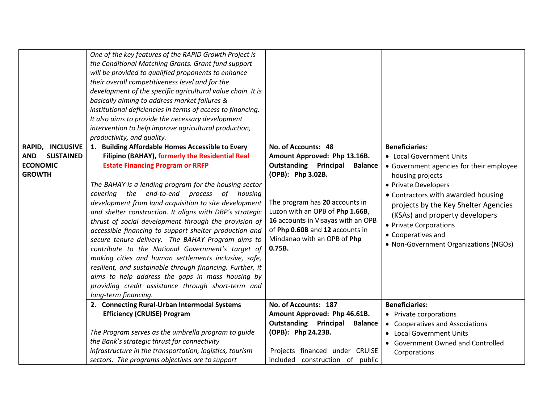| RAPID, INCLUSIVE<br><b>SUSTAINED</b><br><b>AND</b><br><b>ECONOMIC</b><br><b>GROWTH</b> | One of the key features of the RAPID Growth Project is<br>the Conditional Matching Grants. Grant fund support<br>will be provided to qualified proponents to enhance<br>their overall competitiveness level and for the<br>development of the specific agricultural value chain. It is<br>basically aiming to address market failures &<br>institutional deficiencies in terms of access to financing.<br>It also aims to provide the necessary development<br>intervention to help improve agricultural production,<br>productivity, and quality.<br>1. Building Affordable Homes Accessible to Every<br>Filipino (BAHAY), formerly the Residential Real<br><b>Estate Financing Program or RRFP</b><br>The BAHAY is a lending program for the housing sector | No. of Accounts: 48<br>Amount Approved: Php 13.16B.<br><b>Outstanding Principal</b><br><b>Balance</b><br>(OPB): Php 3.02B.                                                          | <b>Beneficiaries:</b><br>• Local Government Units<br>• Government agencies for their employee<br>housing projects<br>• Private Developers                                                             |
|----------------------------------------------------------------------------------------|---------------------------------------------------------------------------------------------------------------------------------------------------------------------------------------------------------------------------------------------------------------------------------------------------------------------------------------------------------------------------------------------------------------------------------------------------------------------------------------------------------------------------------------------------------------------------------------------------------------------------------------------------------------------------------------------------------------------------------------------------------------|-------------------------------------------------------------------------------------------------------------------------------------------------------------------------------------|-------------------------------------------------------------------------------------------------------------------------------------------------------------------------------------------------------|
|                                                                                        | covering the end-to-end process of housing<br>development from land acquisition to site development<br>and shelter construction. It aligns with DBP's strategic<br>thrust of social development through the provision of<br>accessible financing to support shelter production and<br>secure tenure delivery. The BAHAY Program aims to<br>contribute to the National Government's target of<br>making cities and human settlements inclusive, safe,<br>resilient, and sustainable through financing. Further, it<br>aims to help address the gaps in mass housing by<br>providing credit assistance through short-term and<br>long-term financing.                                                                                                           | The program has 20 accounts in<br>Luzon with an OPB of Php 1.66B,<br>16 accounts in Visayas with an OPB<br>of Php 0.60B and 12 accounts in<br>Mindanao with an OPB of Php<br>0.75B. | • Contractors with awarded housing<br>projects by the Key Shelter Agencies<br>(KSAs) and property developers<br>• Private Corporations<br>• Cooperatives and<br>• Non-Government Organizations (NGOs) |
|                                                                                        | 2. Connecting Rural-Urban Intermodal Systems                                                                                                                                                                                                                                                                                                                                                                                                                                                                                                                                                                                                                                                                                                                  | No. of Accounts: 187                                                                                                                                                                | <b>Beneficiaries:</b>                                                                                                                                                                                 |
|                                                                                        | <b>Efficiency (CRUISE) Program</b>                                                                                                                                                                                                                                                                                                                                                                                                                                                                                                                                                                                                                                                                                                                            | Amount Approved: Php 46.61B.                                                                                                                                                        | • Private corporations                                                                                                                                                                                |
|                                                                                        |                                                                                                                                                                                                                                                                                                                                                                                                                                                                                                                                                                                                                                                                                                                                                               | <b>Outstanding Principal</b><br><b>Balance</b>                                                                                                                                      | • Cooperatives and Associations                                                                                                                                                                       |
|                                                                                        | The Program serves as the umbrella program to guide                                                                                                                                                                                                                                                                                                                                                                                                                                                                                                                                                                                                                                                                                                           | (OPB): Php 24.23B.                                                                                                                                                                  | • Local Government Units                                                                                                                                                                              |
|                                                                                        | the Bank's strategic thrust for connectivity                                                                                                                                                                                                                                                                                                                                                                                                                                                                                                                                                                                                                                                                                                                  |                                                                                                                                                                                     | • Government Owned and Controlled                                                                                                                                                                     |
|                                                                                        | infrastructure in the transportation, logistics, tourism                                                                                                                                                                                                                                                                                                                                                                                                                                                                                                                                                                                                                                                                                                      | Projects financed under CRUISE                                                                                                                                                      | Corporations                                                                                                                                                                                          |
|                                                                                        | sectors. The programs objectives are to support                                                                                                                                                                                                                                                                                                                                                                                                                                                                                                                                                                                                                                                                                                               | included construction of public                                                                                                                                                     |                                                                                                                                                                                                       |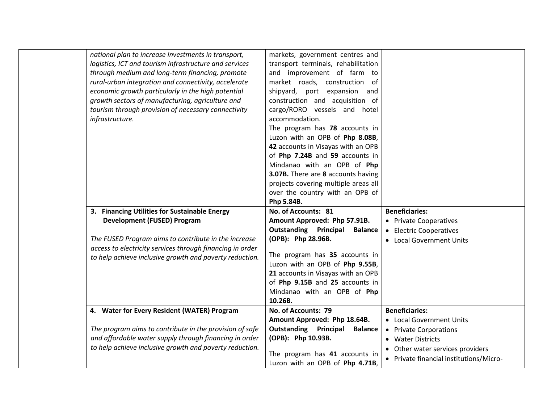| national plan to increase investments in transport,<br>logistics, ICT and tourism infrastructure and services | markets, government centres and<br>transport terminals, rehabilitation |                                         |
|---------------------------------------------------------------------------------------------------------------|------------------------------------------------------------------------|-----------------------------------------|
| through medium and long-term financing, promote                                                               | and improvement of farm to                                             |                                         |
| rural-urban integration and connectivity, accelerate                                                          | market roads, construction of                                          |                                         |
| economic growth particularly in the high potential                                                            | shipyard, port expansion and                                           |                                         |
| growth sectors of manufacturing, agriculture and                                                              | construction and acquisition of                                        |                                         |
| tourism through provision of necessary connectivity                                                           | cargo/RORO vessels and hotel                                           |                                         |
| infrastructure.                                                                                               | accommodation.                                                         |                                         |
|                                                                                                               | The program has 78 accounts in                                         |                                         |
|                                                                                                               | Luzon with an OPB of Php 8.08B,                                        |                                         |
|                                                                                                               | 42 accounts in Visayas with an OPB                                     |                                         |
|                                                                                                               | of Php 7.24B and 59 accounts in                                        |                                         |
|                                                                                                               | Mindanao with an OPB of Php                                            |                                         |
|                                                                                                               | 3.07B. There are 8 accounts having                                     |                                         |
|                                                                                                               | projects covering multiple areas all                                   |                                         |
|                                                                                                               | over the country with an OPB of                                        |                                         |
|                                                                                                               | Php 5.84B.                                                             |                                         |
| 3. Financing Utilities for Sustainable Energy                                                                 | No. of Accounts: 81                                                    | <b>Beneficiaries:</b>                   |
| <b>Development (FUSED) Program</b>                                                                            | Amount Approved: Php 57.91B.                                           | • Private Cooperatives                  |
|                                                                                                               | <b>Outstanding Principal</b><br><b>Balance</b>                         | • Electric Cooperatives                 |
| The FUSED Program aims to contribute in the increase                                                          | (OPB): Php 28.96B.                                                     | • Local Government Units                |
| access to electricity services through financing in order                                                     | The program has 35 accounts in                                         |                                         |
| to help achieve inclusive growth and poverty reduction.                                                       | Luzon with an OPB of Php 9.55B,                                        |                                         |
|                                                                                                               | 21 accounts in Visayas with an OPB                                     |                                         |
|                                                                                                               | of Php 9.15B and 25 accounts in                                        |                                         |
|                                                                                                               | Mindanao with an OPB of Php                                            |                                         |
|                                                                                                               | 10.26B.                                                                |                                         |
| 4. Water for Every Resident (WATER) Program                                                                   | No. of Accounts: 79                                                    | <b>Beneficiaries:</b>                   |
|                                                                                                               | Amount Approved: Php 18.64B.                                           | • Local Government Units                |
| The program aims to contribute in the provision of safe                                                       | <b>Outstanding Principal</b><br><b>Balance</b>                         | • Private Corporations                  |
| and affordable water supply through financing in order                                                        | (OPB): Php 10.93B.                                                     | • Water Districts                       |
| to help achieve inclusive growth and poverty reduction.                                                       | The program has 41 accounts in                                         | • Other water services providers        |
|                                                                                                               | Luzon with an OPB of Php 4.71B,                                        | • Private financial institutions/Micro- |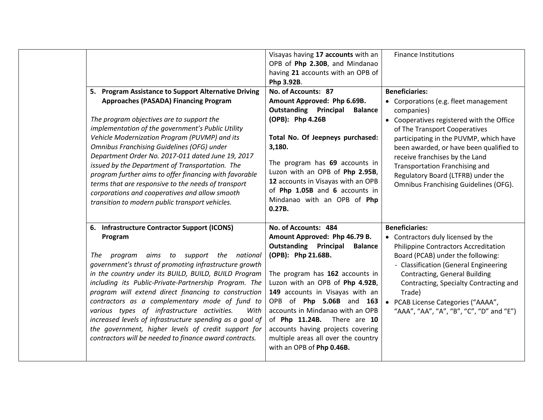|  | 5. Program Assistance to Support Alternative Driving<br><b>Approaches (PASADA) Financing Program</b><br>The program objectives are to support the<br>implementation of the government's Public Utility<br>Vehicle Modernization Program (PUVMP) and its<br>Omnibus Franchising Guidelines (OFG) under<br>Department Order No. 2017-011 dated June 19, 2017<br>issued by the Department of Transportation. The<br>program further aims to offer financing with favorable | Visayas having 17 accounts with an<br>OPB of Php 2.30B, and Mindanao<br>having 21 accounts with an OPB of<br>Php 3.92B.<br>No. of Accounts: 87<br>Amount Approved: Php 6.69B.<br><b>Outstanding Principal</b><br><b>Balance</b><br>(OPB): Php 4.26B<br>Total No. Of Jeepneys purchased:<br>3,180.<br>The program has 69 accounts in<br>Luzon with an OPB of Php 2.95B, | <b>Finance Institutions</b><br><b>Beneficiaries:</b><br>• Corporations (e.g. fleet management<br>companies)<br>• Cooperatives registered with the Office<br>of The Transport Cooperatives<br>participating in the PUVMP, which have<br>been awarded, or have been qualified to<br>receive franchises by the Land<br>Transportation Franchising and<br>Regulatory Board (LTFRB) under the |
|--|-------------------------------------------------------------------------------------------------------------------------------------------------------------------------------------------------------------------------------------------------------------------------------------------------------------------------------------------------------------------------------------------------------------------------------------------------------------------------|------------------------------------------------------------------------------------------------------------------------------------------------------------------------------------------------------------------------------------------------------------------------------------------------------------------------------------------------------------------------|------------------------------------------------------------------------------------------------------------------------------------------------------------------------------------------------------------------------------------------------------------------------------------------------------------------------------------------------------------------------------------------|
|  | terms that are responsive to the needs of transport<br>corporations and cooperatives and allow smooth<br>transition to modern public transport vehicles.<br>6. Infrastructure Contractor Support (ICONS)<br>Program<br>program aims to support the national<br>The<br>government's thrust of promoting infrastructure growth<br>in the country under its BUILD, BUILD, BUILD Program<br>including its Public-Private-Partnership Program. The                           | 12 accounts in Visayas with an OPB<br>of Php 1.05B and 6 accounts in<br>Mindanao with an OPB of Php<br>0.27B.<br>No. of Accounts: 484<br>Amount Approved: Php 46.79 B.<br><b>Outstanding Principal</b><br><b>Balance</b><br>(OPB): Php 21.68B.<br>The program has 162 accounts in<br>Luzon with an OPB of Php 4.92B,                                                   | <b>Omnibus Franchising Guidelines (OFG).</b><br><b>Beneficiaries:</b><br>• Contractors duly licensed by the<br><b>Philippine Contractors Accreditation</b><br>Board (PCAB) under the following:<br>- Classification (General Engineering<br>Contracting, General Building<br>Contracting, Specialty Contracting and                                                                      |
|  | program will extend direct financing to construction<br>contractors as a complementary mode of fund to<br>various types of infrastructure activities.<br>With<br>increased levels of infrastructure spending as a goal of<br>the government, higher levels of credit support for<br>contractors will be needed to finance award contracts.                                                                                                                              | 149 accounts in Visayas with an<br>OPB of Php 5.06B and 163<br>accounts in Mindanao with an OPB<br>of Php 11.24B. There are 10<br>accounts having projects covering<br>multiple areas all over the country<br>with an OPB of Php 0.46B.                                                                                                                                | Trade)<br>• PCAB License Categories ("AAAA",<br>"AAA", "AA", "A", "B", "C", "D" and "E")                                                                                                                                                                                                                                                                                                 |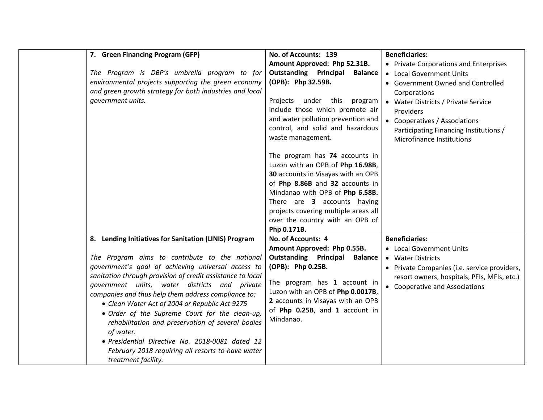| 7. Green Financing Program (GFP)<br>The Program is DBP's umbrella program to for<br>environmental projects supporting the green economy<br>and green growth strategy for both industries and local<br>government units.                                                                                                                                                                                                                                                                                                                                                                                                                  | No. of Accounts: 139<br>Amount Approved: Php 52.31B.<br><b>Outstanding Principal</b><br><b>Balance</b><br>(OPB): Php 32.59B.<br>Projects under this<br>program<br>include those which promote air<br>and water pollution prevention and<br>control, and solid and hazardous<br>waste management.<br>The program has 74 accounts in<br>Luzon with an OPB of Php 16.98B,<br>30 accounts in Visayas with an OPB<br>of Php 8.86B and 32 accounts in<br>Mindanao with OPB of Php 6.58B.<br>There are 3 accounts having<br>projects covering multiple areas all<br>over the country with an OPB of<br>Php 0.171B. | <b>Beneficiaries:</b><br>• Private Corporations and Enterprises<br>• Local Government Units<br>• Government Owned and Controlled<br>Corporations<br>• Water Districts / Private Service<br>Providers<br>• Cooperatives / Associations<br>Participating Financing Institutions /<br>Microfinance Institutions |
|------------------------------------------------------------------------------------------------------------------------------------------------------------------------------------------------------------------------------------------------------------------------------------------------------------------------------------------------------------------------------------------------------------------------------------------------------------------------------------------------------------------------------------------------------------------------------------------------------------------------------------------|-------------------------------------------------------------------------------------------------------------------------------------------------------------------------------------------------------------------------------------------------------------------------------------------------------------------------------------------------------------------------------------------------------------------------------------------------------------------------------------------------------------------------------------------------------------------------------------------------------------|--------------------------------------------------------------------------------------------------------------------------------------------------------------------------------------------------------------------------------------------------------------------------------------------------------------|
| 8. Lending Initiatives for Sanitation (LINIS) Program<br>The Program aims to contribute to the national<br>government's goal of achieving universal access to<br>sanitation through provision of credit assistance to local<br>government units, water districts and private<br>companies and thus help them address compliance to:<br>• Clean Water Act of 2004 or Republic Act 9275<br>• Order of the Supreme Court for the clean-up,<br>rehabilitation and preservation of several bodies<br>of water.<br>· Presidential Directive No. 2018-0081 dated 12<br>February 2018 requiring all resorts to have water<br>treatment facility. | No. of Accounts: 4<br>Amount Approved: Php 0.55B.<br><b>Outstanding Principal</b><br><b>Balance</b><br>(OPB): Php 0.25B.<br>The program has 1 account in<br>Luzon with an OPB of Php 0.0017B,<br>2 accounts in Visayas with an OPB<br>of Php 0.25B, and 1 account in<br>Mindanao.                                                                                                                                                                                                                                                                                                                           | <b>Beneficiaries:</b><br>• Local Government Units<br>• Water Districts<br>• Private Companies (i.e. service providers,<br>resort owners, hospitals, PFIs, MFIs, etc.)<br>• Cooperative and Associations                                                                                                      |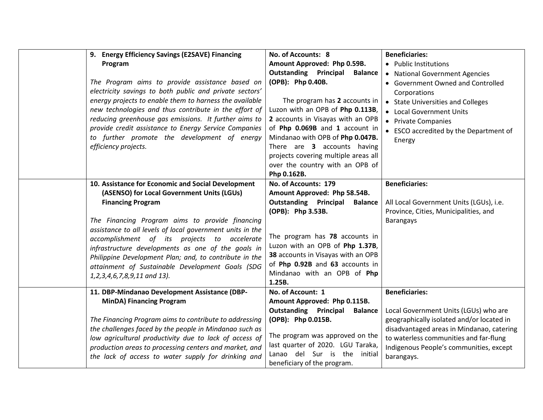| 9. Energy Efficiency Savings (E2SAVE) Financing<br>Program<br>The Program aims to provide assistance based on<br>electricity savings to both public and private sectors'<br>energy projects to enable them to harness the available<br>new technologies and thus contribute in the effort of<br>reducing greenhouse gas emissions. It further aims to<br>provide credit assistance to Energy Service Companies<br>to further promote the development of energy<br>efficiency projects.          | No. of Accounts: 8<br>Amount Approved: Php 0.59B.<br><b>Outstanding Principal</b><br><b>Balance</b><br>(OPB): Php 0.40B.<br>The program has 2 accounts in<br>Luzon with an OPB of Php 0.113B,<br>2 accounts in Visayas with an OPB<br>of Php 0.069B and 1 account in<br>Mindanao with OPB of Php 0.047B.<br>There are 3 accounts having<br>projects covering multiple areas all<br>over the country with an OPB of<br>Php 0.162B. | <b>Beneficiaries:</b><br>• Public Institutions<br>• National Government Agencies<br>• Government Owned and Controlled<br>Corporations<br>• State Universities and Colleges<br>• Local Government Units<br>• Private Companies<br>• ESCO accredited by the Department of<br>Energy |
|-------------------------------------------------------------------------------------------------------------------------------------------------------------------------------------------------------------------------------------------------------------------------------------------------------------------------------------------------------------------------------------------------------------------------------------------------------------------------------------------------|-----------------------------------------------------------------------------------------------------------------------------------------------------------------------------------------------------------------------------------------------------------------------------------------------------------------------------------------------------------------------------------------------------------------------------------|-----------------------------------------------------------------------------------------------------------------------------------------------------------------------------------------------------------------------------------------------------------------------------------|
| 10. Assistance for Economic and Social Development<br>(ASENSO) for Local Government Units (LGUs)<br><b>Financing Program</b><br>The Financing Program aims to provide financing<br>assistance to all levels of local government units in the<br>accomplishment of its projects to accelerate<br>infrastructure developments as one of the goals in<br>Philippine Development Plan; and, to contribute in the<br>attainment of Sustainable Development Goals (SDG<br>1,2,3,4,6,7,8,9,11 and 13). | No. of Accounts: 179<br>Amount Approved: Php 58.54B.<br><b>Outstanding Principal</b><br><b>Balance</b><br>(OPB): Php 3.53B.<br>The program has 78 accounts in<br>Luzon with an OPB of Php 1.37B,<br>38 accounts in Visayas with an OPB<br>of Php 0.92B and 63 accounts in<br>Mindanao with an OPB of Php<br>1.25B.                                                                                                                | <b>Beneficiaries:</b><br>All Local Government Units (LGUs), i.e.<br>Province, Cities, Municipalities, and<br><b>Barangays</b>                                                                                                                                                     |
| 11. DBP-Mindanao Development Assistance (DBP-<br><b>MinDA) Financing Program</b><br>The Financing Program aims to contribute to addressing<br>the challenges faced by the people in Mindanao such as<br>low agricultural productivity due to lack of access of<br>production areas to processing centers and market, and<br>the lack of access to water supply for drinking and                                                                                                                 | No. of Account: 1<br>Amount Approved: Php 0.115B.<br><b>Outstanding Principal</b><br><b>Balance</b><br>(OPB): Php 0.015B.<br>The program was approved on the<br>last quarter of 2020. LGU Taraka,<br>Lanao del Sur is the initial<br>beneficiary of the program.                                                                                                                                                                  | <b>Beneficiaries:</b><br>Local Government Units (LGUs) who are<br>geographically isolated and/or located in<br>disadvantaged areas in Mindanao, catering<br>to waterless communities and far-flung<br>Indigenous People's communities, except<br>barangays.                       |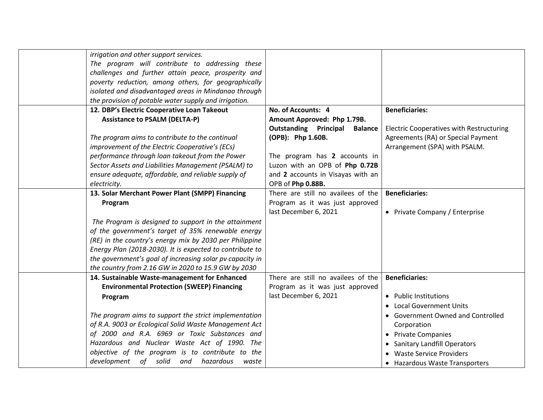| irrigation and other support services.<br>The program will contribute to addressing these<br>challenges and further attain peace, prosperity and<br>poverty reduction, among others, for geographically<br>isolated and disadvantaged areas in Mindanao through<br>the provision of potable water supply and irrigation.                             |                                                                                                                                                |                                                                                                                                                                         |
|------------------------------------------------------------------------------------------------------------------------------------------------------------------------------------------------------------------------------------------------------------------------------------------------------------------------------------------------------|------------------------------------------------------------------------------------------------------------------------------------------------|-------------------------------------------------------------------------------------------------------------------------------------------------------------------------|
| 12. DBP's Electric Cooperative Loan Takeout<br><b>Assistance to PSALM (DELTA-P)</b>                                                                                                                                                                                                                                                                  | No. of Accounts: 4<br>Amount Approved: Php 1.79B.<br><b>Outstanding Principal</b><br><b>Balance</b>                                            | <b>Beneficiaries:</b><br><b>Electric Cooperatives with Restructuring</b>                                                                                                |
| The program aims to contribute to the continual<br>improvement of the Electric Cooperative's (ECs)<br>performance through loan takeout from the Power<br>Sector Assets and Liabilities Management (PSALM) to<br>ensure adequate, affordable, and reliable supply of<br>electricity.                                                                  | (OPB): Php 1.60B.<br>The program has 2 accounts in<br>Luzon with an OPB of Php 0.72B<br>and 2 accounts in Visayas with an<br>OPB of Php 0.88B. | Agreements (RA) or Special Payment<br>Arrangement (SPA) with PSALM.                                                                                                     |
| 13. Solar Merchant Power Plant (SMPP) Financing                                                                                                                                                                                                                                                                                                      | There are still no availees of the                                                                                                             | <b>Beneficiaries:</b>                                                                                                                                                   |
| Program                                                                                                                                                                                                                                                                                                                                              | Program as it was just approved<br>last December 6, 2021                                                                                       | • Private Company / Enterprise                                                                                                                                          |
| The Program is designed to support in the attainment<br>of the government's target of 35% renewable energy<br>(RE) in the country's energy mix by 2030 per Philippine<br>Energy Plan (2018-2030). It is expected to contribute to<br>the government's goal of increasing solar pv capacity in<br>the country from 2.16 GW in 2020 to 15.9 GW by 2030 |                                                                                                                                                |                                                                                                                                                                         |
| 14. Sustainable Waste-management for Enhanced                                                                                                                                                                                                                                                                                                        | There are still no availees of the                                                                                                             | <b>Beneficiaries:</b>                                                                                                                                                   |
| <b>Environmental Protection (SWEEP) Financing</b><br>Program                                                                                                                                                                                                                                                                                         | Program as it was just approved<br>last December 6, 2021                                                                                       | • Public Institutions<br>• Local Government Units                                                                                                                       |
| The program aims to support the strict implementation<br>of R.A. 9003 or Ecological Solid Waste Management Act<br>of 2000 and R.A. 6969 or Toxic Substances and<br>Hazardous and Nuclear Waste Act of 1990. The<br>objective of the program is to contribute to the<br>development of solid and hazardous<br>waste                                   |                                                                                                                                                | • Government Owned and Controlled<br>Corporation<br>• Private Companies<br>• Sanitary Landfill Operators<br>• Waste Service Providers<br>• Hazardous Waste Transporters |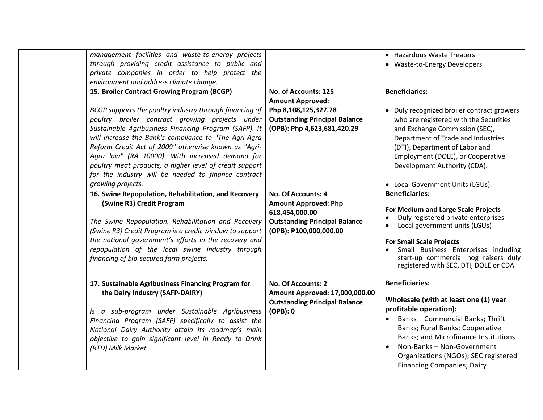| is a sub-program under Sustainable Agribusiness<br>Financing Program (SAFP) specifically to assist the<br>National Dairy Authority attain its roadmap's main<br>objective to gain significant level in Ready to Drink<br>(RTD) Milk Market.                                                                                                                                                                                                                                                                                                                                                                                                                                                                                           | <b>Outstanding Principal Balance</b><br>$(OPB)$ : 0                                                                                            | Wholesale (with at least one (1) year<br>profitable operation):<br>Banks - Commercial Banks; Thrift<br>Banks; Rural Banks; Cooperative<br>Banks; and Microfinance Institutions<br>Non-Banks - Non-Government                                                                                                                                                                                   |
|---------------------------------------------------------------------------------------------------------------------------------------------------------------------------------------------------------------------------------------------------------------------------------------------------------------------------------------------------------------------------------------------------------------------------------------------------------------------------------------------------------------------------------------------------------------------------------------------------------------------------------------------------------------------------------------------------------------------------------------|------------------------------------------------------------------------------------------------------------------------------------------------|------------------------------------------------------------------------------------------------------------------------------------------------------------------------------------------------------------------------------------------------------------------------------------------------------------------------------------------------------------------------------------------------|
| 17. Sustainable Agribusiness Financing Program for<br>the Dairy Industry (SAFP-DAIRY)                                                                                                                                                                                                                                                                                                                                                                                                                                                                                                                                                                                                                                                 | No. Of Accounts: 2<br>Amount Approved: 17,000,000.00                                                                                           | <b>Beneficiaries:</b>                                                                                                                                                                                                                                                                                                                                                                          |
| 16. Swine Repopulation, Rehabilitation, and Recovery<br>(Swine R3) Credit Program<br>The Swine Repopulation, Rehabilitation and Recovery<br>(Swine R3) Credit Program is a credit window to support<br>the national government's efforts in the recovery and<br>repopulation of the local swine industry through<br>financing of bio-secured farm projects.                                                                                                                                                                                                                                                                                                                                                                           | No. Of Accounts: 4<br><b>Amount Approved: Php</b><br>618,454,000.00<br><b>Outstanding Principal Balance</b><br>(OPB): 0100,000,000.00          | <b>Beneficiaries:</b><br>For Medium and Large Scale Projects<br>Duly registered private enterprises<br>Local government units (LGUs)<br><b>For Small Scale Projects</b><br>Small Business Enterprises including<br>start-up commercial hog raisers duly<br>registered with SEC, DTI, DOLE or CDA.                                                                                              |
| management facilities and waste-to-energy projects<br>through providing credit assistance to public and<br>private companies in order to help protect the<br>environment and address climate change.<br>15. Broiler Contract Growing Program (BCGP)<br>BCGP supports the poultry industry through financing of<br>poultry broiler contract growing projects under<br>Sustainable Agribusiness Financing Program (SAFP). It<br>will increase the Bank's compliance to "The Agri-Agra<br>Reform Credit Act of 2009" otherwise known as "Agri-<br>Agra law" (RA 10000). With increased demand for<br>poultry meat products, a higher level of credit support<br>for the industry will be needed to finance contract<br>growing projects. | No. of Accounts: 125<br><b>Amount Approved:</b><br>Php 8,108,125,327.78<br><b>Outstanding Principal Balance</b><br>(OPB): Php 4,623,681,420.29 | • Hazardous Waste Treaters<br>• Waste-to-Energy Developers<br><b>Beneficiaries:</b><br>• Duly recognized broiler contract growers<br>who are registered with the Securities<br>and Exchange Commission (SEC),<br>Department of Trade and Industries<br>(DTI), Department of Labor and<br>Employment (DOLE), or Cooperative<br>Development Authority (CDA).<br>• Local Government Units (LGUs). |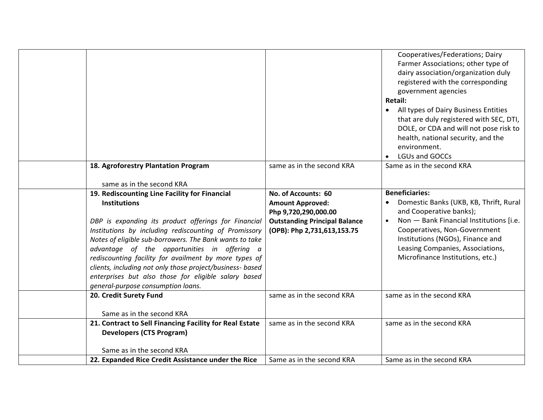|                                                                                                                                                                                                                                                                                                                                                                                                                                                                                |                                                                                                                        | Cooperatives/Federations; Dairy<br>Farmer Associations; other type of<br>dairy association/organization duly<br>registered with the corresponding<br>government agencies<br>Retail:<br>All types of Dairy Business Entities<br>$\bullet$<br>that are duly registered with SEC, DTI,<br>DOLE, or CDA and will not pose risk to<br>health, national security, and the<br>environment. |
|--------------------------------------------------------------------------------------------------------------------------------------------------------------------------------------------------------------------------------------------------------------------------------------------------------------------------------------------------------------------------------------------------------------------------------------------------------------------------------|------------------------------------------------------------------------------------------------------------------------|-------------------------------------------------------------------------------------------------------------------------------------------------------------------------------------------------------------------------------------------------------------------------------------------------------------------------------------------------------------------------------------|
|                                                                                                                                                                                                                                                                                                                                                                                                                                                                                |                                                                                                                        | LGUs and GOCCs                                                                                                                                                                                                                                                                                                                                                                      |
| 18. Agroforestry Plantation Program<br>same as in the second KRA                                                                                                                                                                                                                                                                                                                                                                                                               | same as in the second KRA                                                                                              | Same as in the second KRA                                                                                                                                                                                                                                                                                                                                                           |
|                                                                                                                                                                                                                                                                                                                                                                                                                                                                                | No. of Accounts: 60                                                                                                    | <b>Beneficiaries:</b>                                                                                                                                                                                                                                                                                                                                                               |
| 19. Rediscounting Line Facility for Financial<br><b>Institutions</b><br>DBP is expanding its product offerings for Financial<br>Institutions by including rediscounting of Promissory<br>Notes of eligible sub-borrowers. The Bank wants to take<br>advantage of the opportunities in offering a<br>rediscounting facility for availment by more types of<br>clients, including not only those project/business- based<br>enterprises but also those for eligible salary based | <b>Amount Approved:</b><br>Php 9,720,290,000.00<br><b>Outstanding Principal Balance</b><br>(OPB): Php 2,731,613,153.75 | Domestic Banks (UKB, KB, Thrift, Rural<br>$\bullet$<br>and Cooperative banks);<br>Non - Bank Financial Institutions [i.e.<br>$\bullet$<br>Cooperatives, Non-Government<br>Institutions (NGOs), Finance and<br>Leasing Companies, Associations,<br>Microfinance Institutions, etc.)                                                                                                  |
| general-purpose consumption loans.                                                                                                                                                                                                                                                                                                                                                                                                                                             |                                                                                                                        |                                                                                                                                                                                                                                                                                                                                                                                     |
| 20. Credit Surety Fund                                                                                                                                                                                                                                                                                                                                                                                                                                                         | same as in the second KRA                                                                                              | same as in the second KRA                                                                                                                                                                                                                                                                                                                                                           |
| Same as in the second KRA                                                                                                                                                                                                                                                                                                                                                                                                                                                      |                                                                                                                        |                                                                                                                                                                                                                                                                                                                                                                                     |
| 21. Contract to Sell Financing Facility for Real Estate<br><b>Developers (CTS Program)</b>                                                                                                                                                                                                                                                                                                                                                                                     | same as in the second KRA                                                                                              | same as in the second KRA                                                                                                                                                                                                                                                                                                                                                           |
| Same as in the second KRA                                                                                                                                                                                                                                                                                                                                                                                                                                                      |                                                                                                                        |                                                                                                                                                                                                                                                                                                                                                                                     |
| 22. Expanded Rice Credit Assistance under the Rice                                                                                                                                                                                                                                                                                                                                                                                                                             | Same as in the second KRA                                                                                              | Same as in the second KRA                                                                                                                                                                                                                                                                                                                                                           |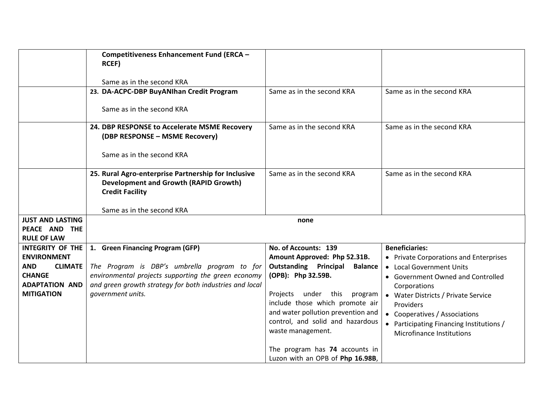|                                               | <b>Competitiveness Enhancement Fund (ERCA -</b>                                                                               |                                                                                             |                                                                           |  |
|-----------------------------------------------|-------------------------------------------------------------------------------------------------------------------------------|---------------------------------------------------------------------------------------------|---------------------------------------------------------------------------|--|
|                                               | <b>RCEF)</b>                                                                                                                  |                                                                                             |                                                                           |  |
|                                               | Same as in the second KRA                                                                                                     |                                                                                             |                                                                           |  |
|                                               | 23. DA-ACPC-DBP BuyANIhan Credit Program                                                                                      | Same as in the second KRA                                                                   | Same as in the second KRA                                                 |  |
|                                               | Same as in the second KRA                                                                                                     |                                                                                             |                                                                           |  |
|                                               | 24. DBP RESPONSE to Accelerate MSME Recovery<br>(DBP RESPONSE - MSME Recovery)                                                | Same as in the second KRA                                                                   | Same as in the second KRA                                                 |  |
|                                               | Same as in the second KRA                                                                                                     |                                                                                             |                                                                           |  |
|                                               | 25. Rural Agro-enterprise Partnership for Inclusive<br><b>Development and Growth (RAPID Growth)</b><br><b>Credit Facility</b> | Same as in the second KRA                                                                   | Same as in the second KRA                                                 |  |
|                                               | Same as in the second KRA                                                                                                     |                                                                                             |                                                                           |  |
| <b>JUST AND LASTING</b>                       |                                                                                                                               | none                                                                                        |                                                                           |  |
| PEACE AND THE                                 |                                                                                                                               |                                                                                             |                                                                           |  |
| <b>RULE OF LAW</b><br><b>INTEGRITY OF THE</b> | 1. Green Financing Program (GFP)                                                                                              | No. of Accounts: 139                                                                        | <b>Beneficiaries:</b>                                                     |  |
| <b>ENVIRONMENT</b>                            |                                                                                                                               | Amount Approved: Php 52.31B.                                                                | • Private Corporations and Enterprises                                    |  |
| <b>AND</b><br><b>CLIMATE</b>                  | The Program is DBP's umbrella program to for                                                                                  | <b>Outstanding Principal</b><br><b>Balance</b>                                              | • Local Government Units                                                  |  |
| <b>CHANGE</b>                                 | environmental projects supporting the green economy                                                                           | (OPB): Php 32.59B.                                                                          | • Government Owned and Controlled                                         |  |
| <b>ADAPTATION AND</b>                         | and green growth strategy for both industries and local                                                                       |                                                                                             | Corporations                                                              |  |
| <b>MITIGATION</b>                             | government units.                                                                                                             | Projects under this program                                                                 | • Water Districts / Private Service                                       |  |
|                                               |                                                                                                                               | include those which promote air                                                             | Providers                                                                 |  |
|                                               |                                                                                                                               | and water pollution prevention and<br>control, and solid and hazardous<br>waste management. | • Cooperatives / Associations<br>• Participating Financing Institutions / |  |
|                                               |                                                                                                                               |                                                                                             | Microfinance Institutions                                                 |  |
|                                               |                                                                                                                               | The program has 74 accounts in<br>Luzon with an OPB of Php 16.98B,                          |                                                                           |  |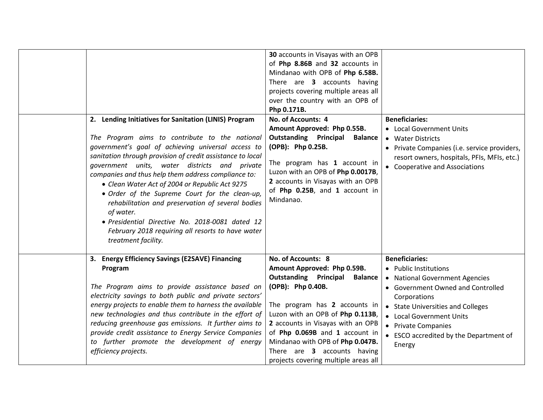| 2. Lending Initiatives for Sanitation (LINIS) Program<br>The Program aims to contribute to the national<br>government's goal of achieving universal access to<br>sanitation through provision of credit assistance to local<br>government units, water districts and private<br>companies and thus help them address compliance to:<br>• Clean Water Act of 2004 or Republic Act 9275<br>• Order of the Supreme Court for the clean-up,<br>of water.<br>· Presidential Directive No. 2018-0081 dated 12<br>treatment facility. | Php 0.171B.<br>No. of Accounts: 4<br>Amount Approved: Php 0.55B.<br><b>Outstanding Principal</b><br>(OPB): Php 0.25B.<br>Mindanao.<br>rehabilitation and preservation of several bodies<br>February 2018 requiring all resorts to have water | 30 accounts in Visayas with an OPB<br>of Php 8.86B and 32 accounts in<br>Mindanao with OPB of Php 6.58B.<br>There are 3 accounts having<br>projects covering multiple areas all<br>over the country with an OPB of<br><b>Balance</b><br>The program has 1 account in<br>Luzon with an OPB of Php 0.0017B,<br>2 accounts in Visayas with an OPB<br>of Php 0.25B, and 1 account in | <b>Beneficiaries:</b><br>• Local Government Units<br>• Water Districts<br>• Private Companies (i.e. service providers,<br>resort owners, hospitals, PFIs, MFIs, etc.)<br>• Cooperative and Associations |
|--------------------------------------------------------------------------------------------------------------------------------------------------------------------------------------------------------------------------------------------------------------------------------------------------------------------------------------------------------------------------------------------------------------------------------------------------------------------------------------------------------------------------------|----------------------------------------------------------------------------------------------------------------------------------------------------------------------------------------------------------------------------------------------|----------------------------------------------------------------------------------------------------------------------------------------------------------------------------------------------------------------------------------------------------------------------------------------------------------------------------------------------------------------------------------|---------------------------------------------------------------------------------------------------------------------------------------------------------------------------------------------------------|
| 3. Energy Efficiency Savings (E2SAVE) Financing<br>Program                                                                                                                                                                                                                                                                                                                                                                                                                                                                     | No. of Accounts: 8<br>Amount Approved: Php 0.59B.                                                                                                                                                                                            |                                                                                                                                                                                                                                                                                                                                                                                  | <b>Beneficiaries:</b><br>• Public Institutions                                                                                                                                                          |
|                                                                                                                                                                                                                                                                                                                                                                                                                                                                                                                                | <b>Outstanding Principal</b>                                                                                                                                                                                                                 | <b>Balance</b>                                                                                                                                                                                                                                                                                                                                                                   | • National Government Agencies                                                                                                                                                                          |
| The Program aims to provide assistance based on                                                                                                                                                                                                                                                                                                                                                                                                                                                                                | (OPB): Php 0.40B.                                                                                                                                                                                                                            |                                                                                                                                                                                                                                                                                                                                                                                  | • Government Owned and Controlled                                                                                                                                                                       |
| electricity savings to both public and private sectors'                                                                                                                                                                                                                                                                                                                                                                                                                                                                        |                                                                                                                                                                                                                                              |                                                                                                                                                                                                                                                                                                                                                                                  | Corporations                                                                                                                                                                                            |
| energy projects to enable them to harness the available<br>new technologies and thus contribute in the effort of                                                                                                                                                                                                                                                                                                                                                                                                               |                                                                                                                                                                                                                                              | The program has 2 accounts in<br>Luzon with an OPB of Php 0.113B,                                                                                                                                                                                                                                                                                                                | • State Universities and Colleges                                                                                                                                                                       |
| reducing greenhouse gas emissions. It further aims to                                                                                                                                                                                                                                                                                                                                                                                                                                                                          |                                                                                                                                                                                                                                              | 2 accounts in Visayas with an OPB                                                                                                                                                                                                                                                                                                                                                | • Local Government Units                                                                                                                                                                                |
| provide credit assistance to Energy Service Companies                                                                                                                                                                                                                                                                                                                                                                                                                                                                          |                                                                                                                                                                                                                                              | of Php 0.069B and 1 account in                                                                                                                                                                                                                                                                                                                                                   | • Private Companies                                                                                                                                                                                     |
| to further promote the development of energy                                                                                                                                                                                                                                                                                                                                                                                                                                                                                   |                                                                                                                                                                                                                                              | Mindanao with OPB of Php 0.047B.                                                                                                                                                                                                                                                                                                                                                 | • ESCO accredited by the Department of                                                                                                                                                                  |
| efficiency projects.                                                                                                                                                                                                                                                                                                                                                                                                                                                                                                           |                                                                                                                                                                                                                                              | Energy<br>There are 3 accounts having                                                                                                                                                                                                                                                                                                                                            |                                                                                                                                                                                                         |
|                                                                                                                                                                                                                                                                                                                                                                                                                                                                                                                                |                                                                                                                                                                                                                                              | projects covering multiple areas all                                                                                                                                                                                                                                                                                                                                             |                                                                                                                                                                                                         |